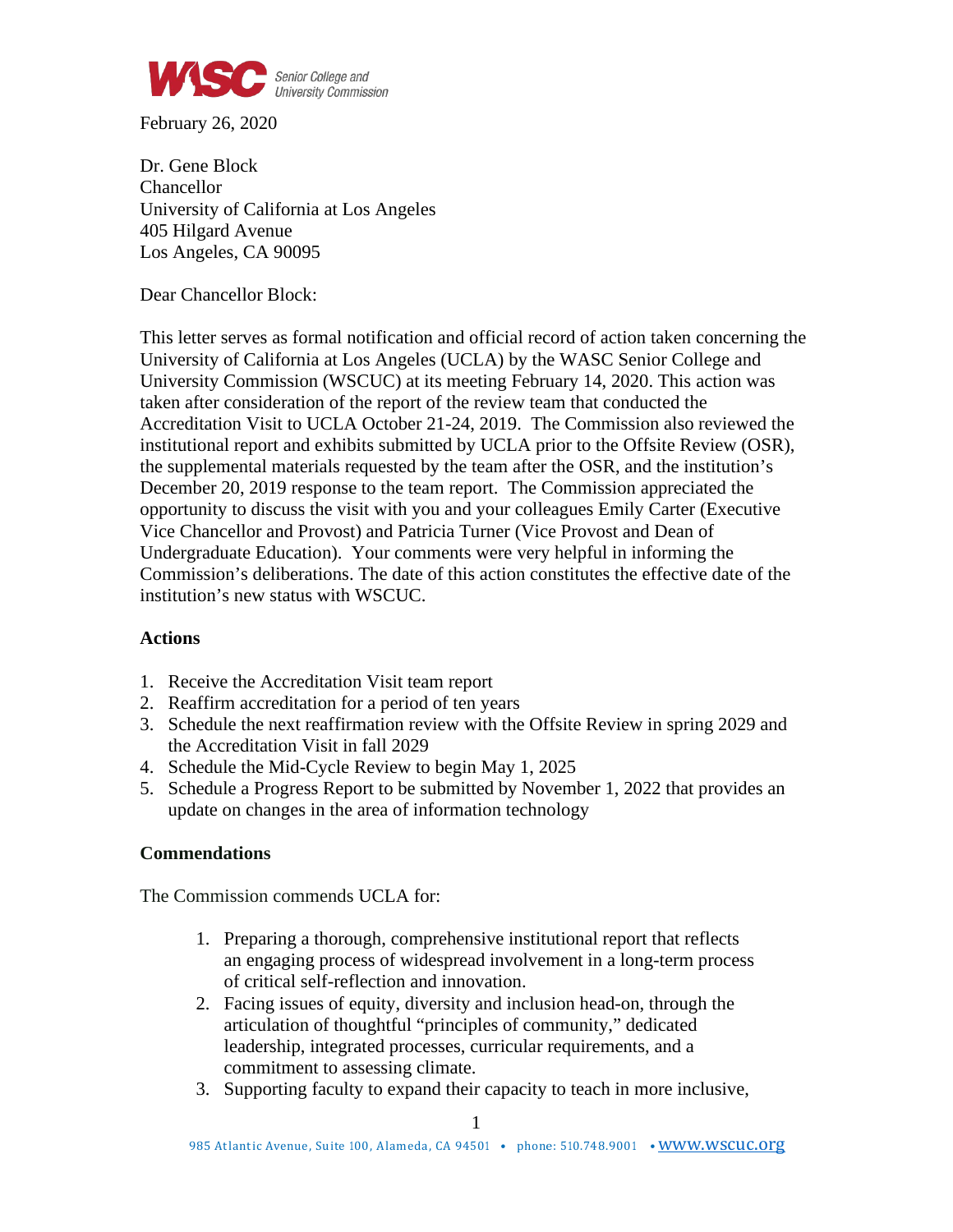

February 26, 2020

Dr. Gene Block Chancellor University of California at Los Angeles 405 Hilgard Avenue Los Angeles, CA 90095

Dear Chancellor Block:

This letter serves as formal notification and official record of action taken concerning the University of California at Los Angeles (UCLA) by the WASC Senior College and University Commission (WSCUC) at its meeting February 14, 2020. This action was taken after consideration of the report of the review team that conducted the Accreditation Visit to UCLA October 21-24, 2019. The Commission also reviewed the institutional report and exhibits submitted by UCLA prior to the Offsite Review (OSR), the supplemental materials requested by the team after the OSR, and the institution's December 20, 2019 response to the team report. The Commission appreciated the opportunity to discuss the visit with you and your colleagues Emily Carter (Executive Vice Chancellor and Provost) and Patricia Turner (Vice Provost and Dean of Undergraduate Education). Your comments were very helpful in informing the Commission's deliberations. The date of this action constitutes the effective date of the institution's new status with WSCUC.

## **Actions**

- 1. Receive the Accreditation Visit team report
- 2. Reaffirm accreditation for a period of ten years
- 3. Schedule the next reaffirmation review with the Offsite Review in spring 2029 and the Accreditation Visit in fall 2029
- 4. Schedule the Mid-Cycle Review to begin May 1, 2025
- 5. Schedule a Progress Report to be submitted by November 1, 2022 that provides an update on changes in the area of information technology

## **Commendations**

The Commission commends UCLA for:

- 1. Preparing a thorough, comprehensive institutional report that reflects an engaging process of widespread involvement in a long-term process of critical self-reflection and innovation.
- 2. Facing issues of equity, diversity and inclusion head-on, through the articulation of thoughtful "principles of community," dedicated leadership, integrated processes, curricular requirements, and a commitment to assessing climate.
- 3. Supporting faculty to expand their capacity to teach in more inclusive,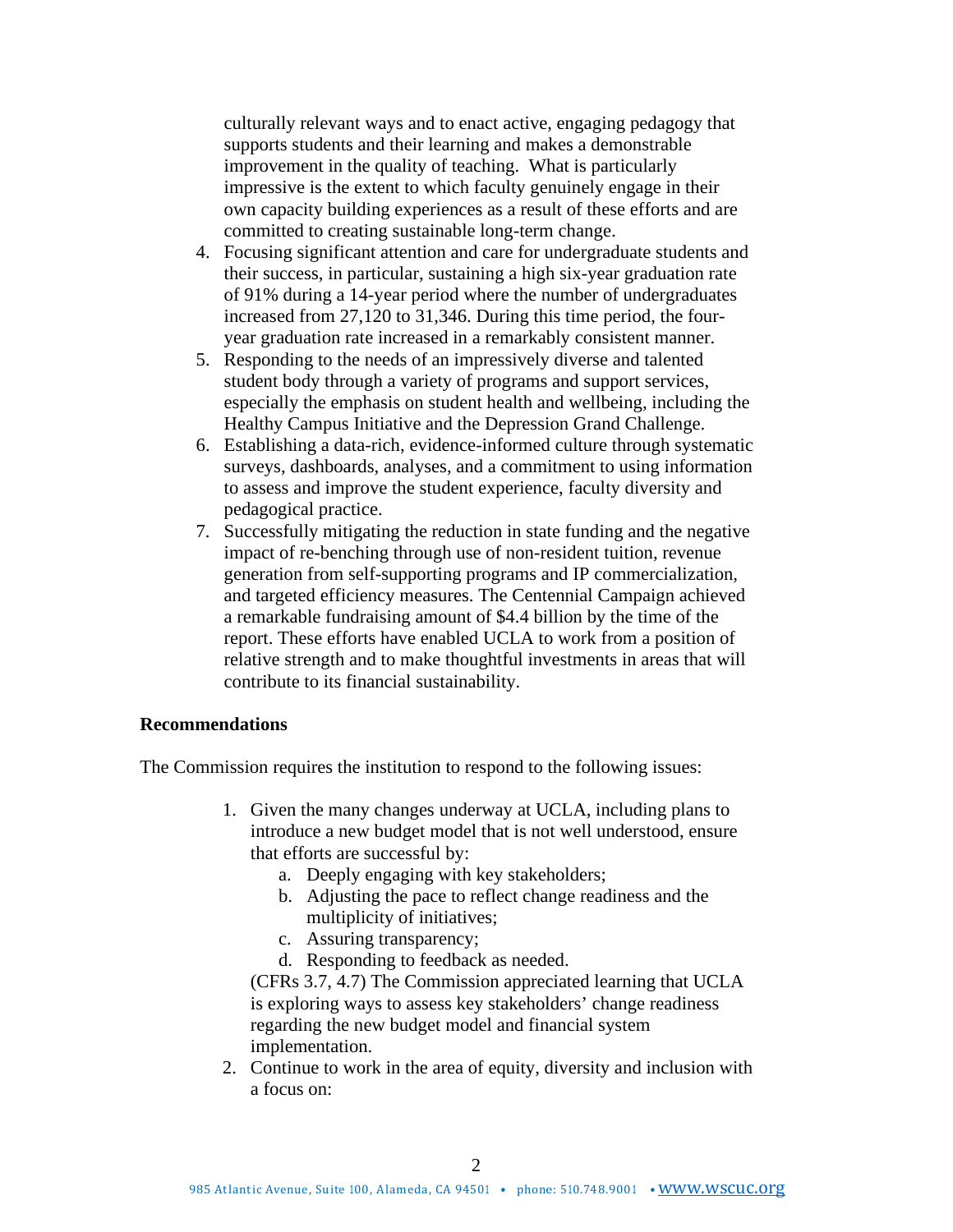culturally relevant ways and to enact active, engaging pedagogy that supports students and their learning and makes a demonstrable improvement in the quality of teaching. What is particularly impressive is the extent to which faculty genuinely engage in their own capacity building experiences as a result of these efforts and are committed to creating sustainable long-term change.

- 4. Focusing significant attention and care for undergraduate students and their success, in particular, sustaining a high six-year graduation rate of 91% during a 14-year period where the number of undergraduates increased from 27,120 to 31,346. During this time period, the fouryear graduation rate increased in a remarkably consistent manner.
- 5. Responding to the needs of an impressively diverse and talented student body through a variety of programs and support services, especially the emphasis on student health and wellbeing, including the Healthy Campus Initiative and the Depression Grand Challenge.
- 6. Establishing a data-rich, evidence-informed culture through systematic surveys, dashboards, analyses, and a commitment to using information to assess and improve the student experience, faculty diversity and pedagogical practice.
- 7. Successfully mitigating the reduction in state funding and the negative impact of re-benching through use of non-resident tuition, revenue generation from self-supporting programs and IP commercialization, and targeted efficiency measures. The Centennial Campaign achieved a remarkable fundraising amount of \$4.4 billion by the time of the report. These efforts have enabled UCLA to work from a position of relative strength and to make thoughtful investments in areas that will contribute to its financial sustainability.

## **Recommendations**

The Commission requires the institution to respond to the following issues:

- 1. Given the many changes underway at UCLA, including plans to introduce a new budget model that is not well understood, ensure that efforts are successful by:
	- a. Deeply engaging with key stakeholders;
	- b. Adjusting the pace to reflect change readiness and the multiplicity of initiatives;
	- c. Assuring transparency;
	- d. Responding to feedback as needed.

(CFRs 3.7, 4.7) The Commission appreciated learning that UCLA is exploring ways to assess key stakeholders' change readiness regarding the new budget model and financial system implementation.

2. Continue to work in the area of equity, diversity and inclusion with a focus on: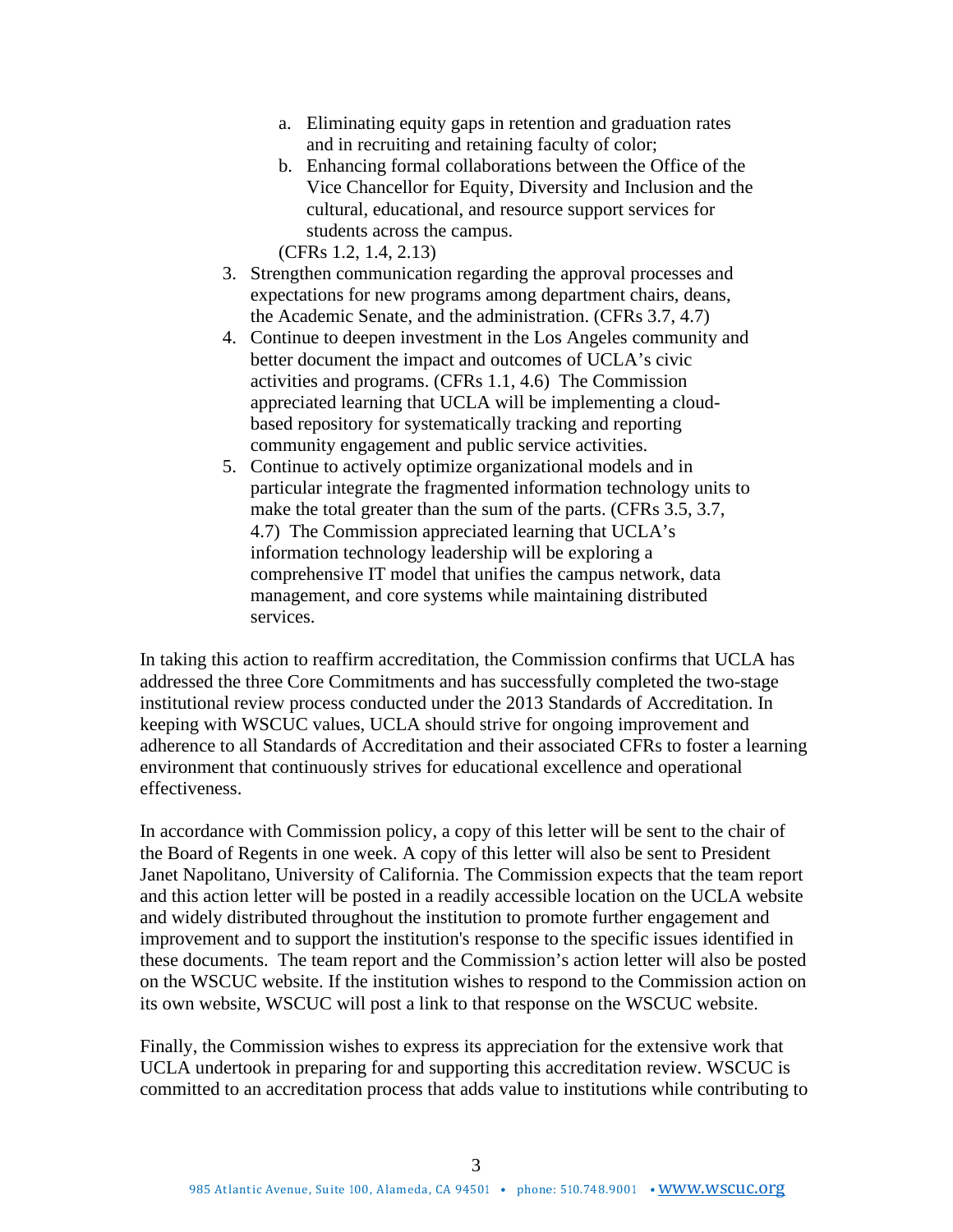- a. Eliminating equity gaps in retention and graduation rates and in recruiting and retaining faculty of color;
- b. Enhancing formal collaborations between the Office of the Vice Chancellor for Equity, Diversity and Inclusion and the cultural, educational, and resource support services for students across the campus.

(CFRs 1.2, 1.4, 2.13)

- 3. Strengthen communication regarding the approval processes and expectations for new programs among department chairs, deans, the Academic Senate, and the administration. (CFRs 3.7, 4.7)
- 4. Continue to deepen investment in the Los Angeles community and better document the impact and outcomes of UCLA's civic activities and programs. (CFRs 1.1, 4.6) The Commission appreciated learning that UCLA will be implementing a cloudbased repository for systematically tracking and reporting community engagement and public service activities.
- 5. Continue to actively optimize organizational models and in particular integrate the fragmented information technology units to make the total greater than the sum of the parts. (CFRs 3.5, 3.7, 4.7) The Commission appreciated learning that UCLA's information technology leadership will be exploring a comprehensive IT model that unifies the campus network, data management, and core systems while maintaining distributed services.

In taking this action to reaffirm accreditation, the Commission confirms that UCLA has addressed the three Core Commitments and has successfully completed the two-stage institutional review process conducted under the 2013 Standards of Accreditation. In keeping with WSCUC values, UCLA should strive for ongoing improvement and adherence to all Standards of Accreditation and their associated CFRs to foster a learning environment that continuously strives for educational excellence and operational effectiveness.

In accordance with Commission policy, a copy of this letter will be sent to the chair of the Board of Regents in one week. A copy of this letter will also be sent to President Janet Napolitano, University of California. The Commission expects that the team report and this action letter will be posted in a readily accessible location on the UCLA website and widely distributed throughout the institution to promote further engagement and improvement and to support the institution's response to the specific issues identified in these documents. The team report and the Commission's action letter will also be posted on the WSCUC website. If the institution wishes to respond to the Commission action on its own website, WSCUC will post a link to that response on the WSCUC website.

Finally, the Commission wishes to express its appreciation for the extensive work that UCLA undertook in preparing for and supporting this accreditation review. WSCUC is committed to an accreditation process that adds value to institutions while contributing to